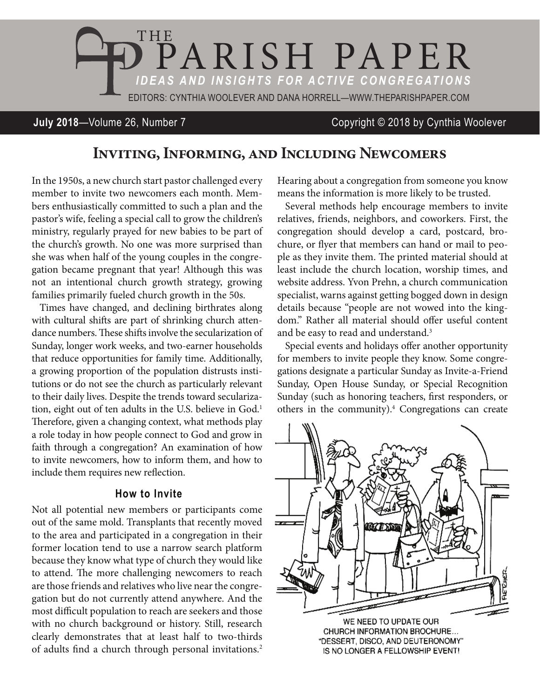

# **July 2018**—Volume 26, Number 7 Copyright © 2018 by Cynthia Woolever

# **Inviting, Informing, and Including Newcomers**

In the 1950s, a new church start pastor challenged every member to invite two newcomers each month. Members enthusiastically committed to such a plan and the pastor's wife, feeling a special call to grow the children's ministry, regularly prayed for new babies to be part of the church's growth. No one was more surprised than she was when half of the young couples in the congregation became pregnant that year! Although this was not an intentional church growth strategy, growing families primarily fueled church growth in the 50s.

Times have changed, and declining birthrates along with cultural shifts are part of shrinking church attendance numbers. These shifts involve the secularization of Sunday, longer work weeks, and two-earner households that reduce opportunities for family time. Additionally, a growing proportion of the population distrusts institutions or do not see the church as particularly relevant to their daily lives. Despite the trends toward secularization, eight out of ten adults in the U.S. believe in God.<sup>1</sup> Therefore, given a changing context, what methods play a role today in how people connect to God and grow in faith through a congregation? An examination of how to invite newcomers, how to inform them, and how to include them requires new reflection.

### **How to Invite**

Not all potential new members or participants come out of the same mold. Transplants that recently moved to the area and participated in a congregation in their former location tend to use a narrow search platform because they know what type of church they would like to attend. The more challenging newcomers to reach are those friends and relatives who live near the congregation but do not currently attend anywhere. And the most difficult population to reach are seekers and those with no church background or history. Still, research clearly demonstrates that at least half to two-thirds of adults find a church through personal invitations.<sup>2</sup>

Hearing about a congregation from someone you know means the information is more likely to be trusted.

Several methods help encourage members to invite relatives, friends, neighbors, and coworkers. First, the congregation should develop a card, postcard, brochure, or flyer that members can hand or mail to people as they invite them. The printed material should at least include the church location, worship times, and website address. Yvon Prehn, a church communication specialist, warns against getting bogged down in design details because "people are not wowed into the kingdom." Rather all material should offer useful content and be easy to read and understand.<sup>3</sup>

Special events and holidays offer another opportunity for members to invite people they know. Some congregations designate a particular Sunday as Invite-a-Friend Sunday, Open House Sunday, or Special Recognition Sunday (such as honoring teachers, first responders, or others in the community).<sup>4</sup> Congregations can create